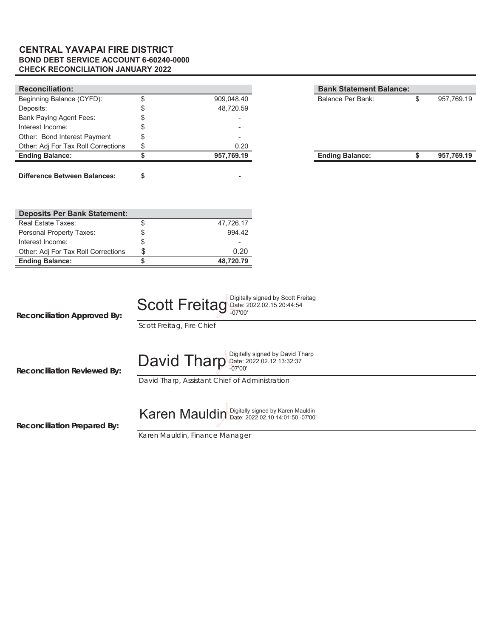### **BOND DEBT SERVICE ACCOUNT 6-60240-0000 CHECK RECONCILIATION JANUARY 2022 CENTRAL YAVAPAI FIRE DISTRICT**

| <b>Reconciliation:</b>              |            | <b>Bank Statement Balance:</b> |            |
|-------------------------------------|------------|--------------------------------|------------|
| Beginning Balance (CYFD):           | 909,048.40 | Balance Per Bank:              | 957,769.19 |
| Deposits:                           | 48.720.59  |                                |            |
| <b>Bank Paying Agent Fees:</b>      |            |                                |            |
| Interest Income:                    |            |                                |            |
| Other: Bond Interest Payment        |            |                                |            |
| Other: Adj For Tax Roll Corrections | 0.20       |                                |            |
| <b>Ending Balance:</b>              | 957,769.19 | <b>Ending Balance:</b>         | 957,769.19 |
|                                     |            |                                |            |

| <b>Deposits Per Bank Statement:</b> |    |           |
|-------------------------------------|----|-----------|
| Real Estate Taxes:                  | \$ | 47,726.17 |
| Personal Property Taxes:            | S  | 994.42    |
| Interest Income:                    | S  |           |
| Other: Adj For Tax Roll Corrections | S  | 0.20      |
| <b>Ending Balance:</b>              |    | 48,720.79 |

| Balance Per Bank:      | \$<br>957,769.19 |
|------------------------|------------------|
|                        |                  |
|                        |                  |
|                        |                  |
|                        |                  |
|                        |                  |
| <b>Ending Balance:</b> | 957,769.19       |

| Scott Freitag Date: 2022.02.15 20:44:54 | Digitally signed by Scott Freitag |
|-----------------------------------------|-----------------------------------|
|-----------------------------------------|-----------------------------------|

**Reconciliation Approved By:**

**Difference Between Balances: - \$**

*Scott Freitag, Fire Chief*

**Reconciliation Reviewed By:**

*David Tharp, Assistant Chief of Administration*  $\textsf{David}$  Tharp Digitally signed by David Tharp Date: 2022.02.12 13:32:37 -07'00'

**Reconciliation Prepared By:**

Karen Mauldin Digitally signed by Karen Mauldin

*Karen Mauldin, Finance Manager*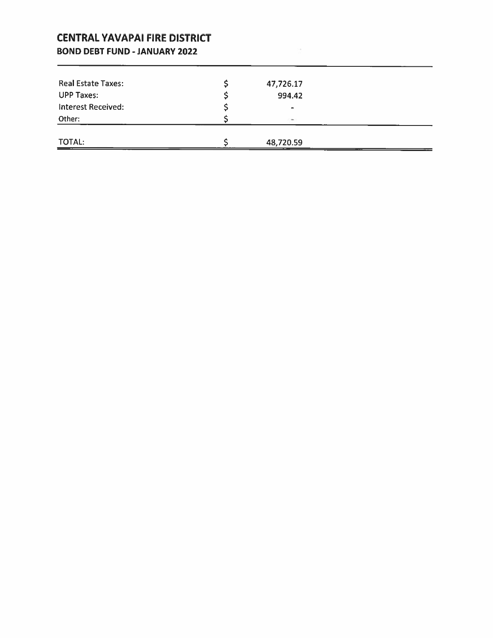### **CENTRAL YAVAPAI FIRE DISTRICT**

### **BOND DEBT FUND - JANUARY 2022**

| Real Estate Taxes:        | 47,726.17                |  |
|---------------------------|--------------------------|--|
| <b>UPP Taxes:</b>         | 994.42                   |  |
| <b>Interest Received:</b> | $\overline{\phantom{0}}$ |  |
| Other:                    |                          |  |
|                           |                          |  |
| <b>TOTAL:</b>             | 48,720.59                |  |

 $\frac{1}{2}$  and  $\frac{1}{2}$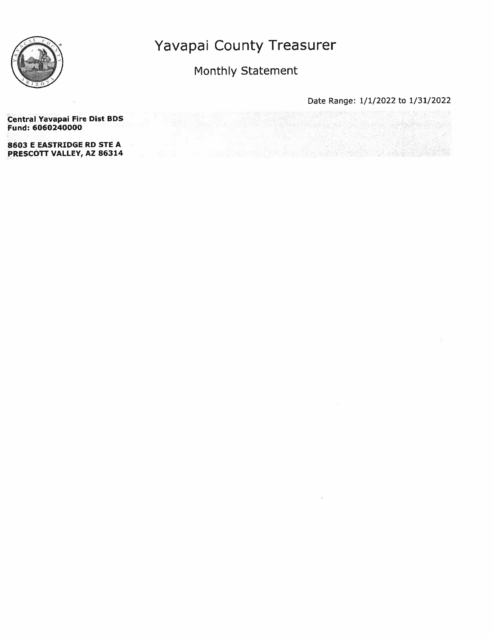

### Monthly Statement

Date Range: 1/1/2022 to 1/31/2022 

 $\mathcal{L}_\text{A}$  , we can consider a

### **Central Yavapai Fire Dist BDS** Fund: 6060240000

8603 E EASTRIDGE RD STE A PRESCOTT VALLEY, AZ 86314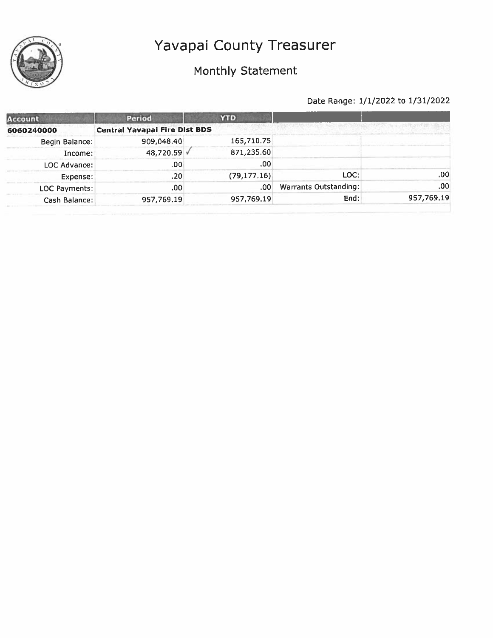# Monthly Statement

| Account        | Period                               | <b>YTD</b>    |                       |            |
|----------------|--------------------------------------|---------------|-----------------------|------------|
| 6060240000     | <b>Central Yavapai Fire Dist BDS</b> |               |                       |            |
| Begin Balance: | 909,048.40                           | 165,710.75    |                       |            |
| Income:        | 48,720.59 V                          | 871,235.60    |                       |            |
| LOC Advance:   | .00                                  | .00           |                       |            |
| Expense:       | .20                                  | (79, 177, 16) | LOC:                  | .00        |
| LOC Payments:  | .00                                  | .00           | Warrants Outstanding: | .00        |
| Cash Balance:  | 957,769.19                           | 957,769.19    | End:                  | 957,769.19 |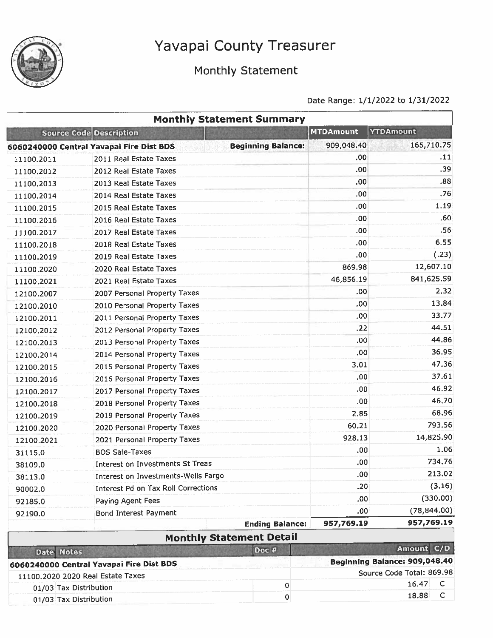

01/03 Tax Distribution

## Monthly Statement

### Date Range: 1/1/2022 to 1/31/2022

|                        |                                            | <b>Monthly Statement Summary</b> |                  |                                                    |
|------------------------|--------------------------------------------|----------------------------------|------------------|----------------------------------------------------|
|                        | <b>Source Code Description</b>             |                                  | <b>MTDAmount</b> | <b>YTDAmount</b>                                   |
|                        | 6060240000 Central Yavapai Fire Dist BDS   | <b>Beginning Balance:</b>        | 909,048.40       | 165,710.75                                         |
| 11100.2011             | 2011 Real Estate Taxes                     |                                  | .00              | .11                                                |
| 11100.2012             | 2012 Real Estate Taxes                     |                                  | .00              | .39                                                |
| 11100.2013             | 2013 Real Estate Taxes                     |                                  | .00              | .88                                                |
| 11100.2014             | 2014 Real Estate Taxes                     |                                  | .00              | .76                                                |
| 11100.2015             | 2015 Real Estate Taxes                     |                                  | .00              | 1.19                                               |
| 11100.2016             | 2016 Real Estate Taxes                     |                                  | .00              | .60                                                |
| 11100.2017             | 2017 Real Estate Taxes                     |                                  | .00              | .56                                                |
| 11100.2018             | 2018 Real Estate Taxes                     |                                  | .00              | 6.55                                               |
| 11100.2019             | 2019 Real Estate Taxes                     |                                  | .00              | (.23)                                              |
| 11100,2020             | 2020 Real Estate Taxes                     |                                  | 869.98           | 12,607.10                                          |
| 11100.2021             | 2021 Real Estate Taxes                     |                                  | 46,856.19        | 841,625.59                                         |
| 12100.2007             | 2007 Personal Property Taxes               |                                  | .00              | 2,32                                               |
| 12100.2010             | 2010 Personal Property Taxes               |                                  | .00              | 13.84                                              |
| 12100.2011             | 2011 Personal Property Taxes               |                                  | .00              | 33.77                                              |
| 12100.2012             | 2012 Personal Property Taxes               |                                  | , 22             | 44.51                                              |
| 12100.2013             | 2013 Personal Property Taxes               |                                  | .00              | 44.86                                              |
| 12100.2014             | 2014 Personal Property Taxes               |                                  | .00              | 36.95                                              |
| 12100.2015             | 2015 Personal Property Taxes               |                                  | 3.01             | 47.36                                              |
| 12100.2016             | 2016 Personal Property Taxes               |                                  | .00.             | 37.61                                              |
| 12100.2017             | 2017 Personal Property Taxes               |                                  | .00              | 46.92                                              |
| 12100.2018             | 2018 Personal Property Taxes               |                                  | .00.             | 46.70                                              |
| 12100.2019             | 2019 Personal Property Taxes               |                                  | 2.85             | 68.96                                              |
| 12100.2020             | 2020 Personal Property Taxes               |                                  | 60.21            | 793.56                                             |
| 12100.2021             | 2021 Personal Property Taxes               |                                  | 928.13           | 14,825.90                                          |
| 31115.0                | <b>BOS Sale-Taxes</b>                      |                                  | .00              | 1.06                                               |
| 38109.0                | Interest on Investments St Treas           |                                  | ,00              | 734.76                                             |
| 38113.0                | Interest on Investments-Wells Fargo        |                                  | .00              | 213.02                                             |
| 90002.0                | <b>Interest Pd on Tax Roll Corrections</b> |                                  | .20              | (3.16)                                             |
| 92185.0                | Paying Agent Fees                          |                                  | .00              | (330.00)                                           |
| 92190.0                | <b>Bond Interest Payment</b>               |                                  | .00.             | (78, 844.00)                                       |
|                        |                                            | <b>Ending Balance:</b>           | 957,769.19       | 957,769.19                                         |
|                        |                                            | <b>Monthly Statement Detail</b>  |                  |                                                    |
| Date Notes             |                                            | Doc #                            |                  | Amount C/D                                         |
|                        | 6060240000 Central Yavapai Fire Dist BDS   |                                  |                  | Beginning Balance: 909,048.40                      |
|                        | 11100.2020 2020 Real Estate Taxes          |                                  |                  | Source Code Total: 869.98<br>$\mathsf{C}$<br>16.47 |
| 01/03 Tax Distribution |                                            | 0                                |                  | $\mathsf C$<br>18.88                               |
| 01/03 Tay Distribution |                                            | 0                                |                  |                                                    |

 $\mathbf{o}$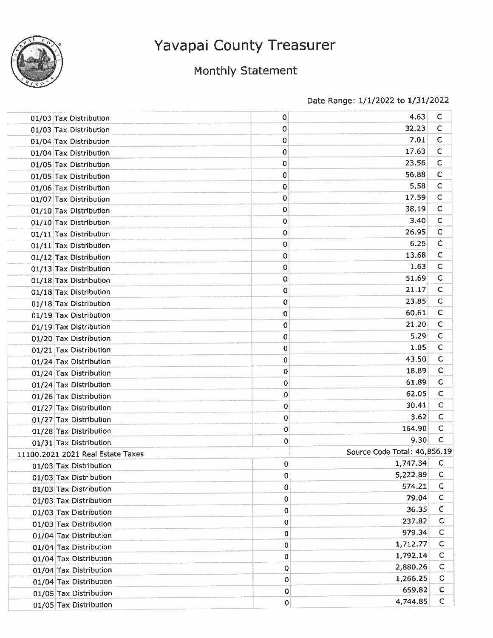

# Monthly Statement

| 01/03 Tax Distribution            | 0           | 4.63                         | C            |
|-----------------------------------|-------------|------------------------------|--------------|
| 01/03 Tax Distribution            | 0           | 32.23                        | C            |
| 01/04 Tax Distribution            | 0           | 7.01                         | $\mathsf{C}$ |
| 01/04 Tax Distribution            | 0           | 17.63                        | C            |
| 01/05 Tax Distribution            | 0           | 23.56                        | C            |
| 01/05 Tax Distribution            | 0           | 56.88                        | C            |
| 01/06 Tax Distribution            | 0           | 5.58                         | C            |
| 01/07 Tax Distribution            | 0           | 17.59                        | $\mathsf{C}$ |
| 01/10 Tax Distribution            | 0           | 38.19                        | с            |
| 01/10 Tax Distribution            | 0           | 3.40                         | С            |
| 01/11 Tax Distribution            | 0           | 26.95                        | с            |
| 01/11 Tax Distribution            | 0           | 6.25                         | с            |
| 01/12 Tax Distribution            | 0           | 13.68                        | C            |
| 01/13 Tax Distribution            | 0           | 1.63                         | С            |
| 01/18 Tax Distribution            | 0           | 51.69                        | C            |
| 01/18 Tax Distribution            | 0           | 21.17                        | с            |
| 01/18 Tax Distribution            | 0           | 23,85                        | с            |
| 01/19 Tax Distribution            | 0           | 60.61                        | с            |
| 01/19 Tax Distribution            | 0           | 21.20                        | C            |
| 01/20 Tax Distribution            | 0           | 5.29                         | с            |
| 01/21 Tax Distribution            | 0           | 1.05                         | C            |
| 01/24 Tax Distribution            | 0           | 43.50                        | с            |
| 01/24 Tax Distribution            | 0           | 18.89                        | C            |
| 01/24 Tax Distribution            | 0           | 61.89                        | C            |
| 01/26 Tax Distribution            | 0           | 62.05                        | C            |
| 01/27 Tax Distribution            | 0           | 30.41                        | $\mathsf C$  |
| 01/27 Tax Distribution            | 0           | 3.62                         | C            |
| 01/28 Tax Distribution            | 0           | 164.90                       | C            |
| 01/31 Tax Distribution            | 0           | 9.30                         | C            |
| 11100.2021 2021 Real Estate Taxes |             | Source Code Total: 46,856.19 |              |
| 01/03 Tax Distribution            | 0           | 1,747.34                     | $\mathsf{C}$ |
| 01/03 Tax Distribution            | 0           | 5,222.89                     | C            |
| 01/03 Tax Distribution            | 0           | 574.21                       | C            |
| 01/03 Tax Distribution            | $\mathbf 0$ | 79.04                        | C            |
| 01/03 Tax Distribution            | $\mathbf 0$ | 36.35                        | c            |
| 01/03 Tax Distribution            | 0           | 237.82                       | C            |
| 01/04 Tax Distribution            | 0           | 979.34                       | C            |
| 01/04 Tax Distribution            | 0           | 1,712.77                     | C            |
| 01/04 Tax Distribution            | 0           | 1,792.14                     | C            |
| 01/04 Tax Distribution            | $\mathbf 0$ | 2,880.26                     | C            |
| 01/04 Tax Distribution            | 0           | 1,266.25                     | С            |
| 01/05 Tax Distribution            | 0           | 659,82                       | C            |
| 01/05 Tax Distribution            | 0           | 4,744.85                     | $\mathsf{C}$ |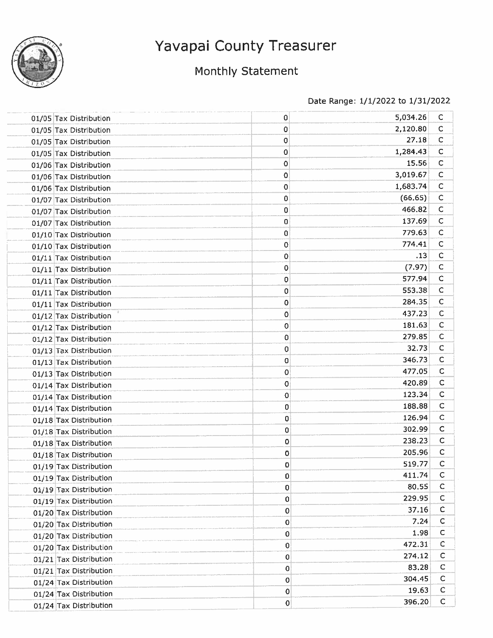

## Monthly Statement

| 01/05 Tax Distribution | 0           | 5,034.26 | $\mathsf{C}$ |
|------------------------|-------------|----------|--------------|
| 01/05 Tax Distribution | 0           | 2,120.80 | $\mathsf{C}$ |
| 01/05 Tax Distribution | 0           | 27.18    | $\mathsf{C}$ |
| 01/05 Tax Distribution | 0           | 1,284.43 | $\mathsf{C}$ |
| 01/06 Tax Distribution | 0           | 15.56    | $\mathsf{C}$ |
| 01/06 Tax Distribution | 0           | 3,019.67 | C            |
| 01/06 Tax Distribution | 0           | 1,683.74 | $\mathsf{C}$ |
| 01/07 Tax Distribution | 0           | (66.65)  | $\mathsf{C}$ |
| 01/07 Tax Distribution | 0           | 466,82   | C            |
| 01/07 Tax Distribution | 0           | 137.69   | C            |
| 01/10 Tax Distribution | 0           | 779.63   | C            |
| 01/10 Tax Distribution | 0           | 774.41   | C            |
| 01/11 Tax Distribution | 0           | .13      | $\mathsf{C}$ |
| 01/11 Tax Distribution | 0           | (7.97)   | $\mathsf{C}$ |
| 01/11 Tax Distribution | 0           | 577.94   | $\mathsf{C}$ |
| 01/11 Tax Distribution | 0           | 553.38   | C            |
| 01/11 Tax Distribution | 0           | 284.35   | $\mathsf{C}$ |
| 01/12 Tax Distribution | 0           | 437.23   | $\mathsf C$  |
| 01/12 Tax Distribution | 0           | 181.63   | $\mathsf{C}$ |
| 01/12 Tax Distribution | 0           | 279.85   | C            |
| 01/13 Tax Distribution | 0           | 32.73    | c            |
| 01/13 Tax Distribution | 0           | 346.73   | $\mathsf{C}$ |
| 01/13 Tax Distribution | 0           | 477.05   | $\mathsf{C}$ |
| 01/14 Tax Distribution | 0           | 420.89   | $\mathsf{C}$ |
| 01/14 Tax Distribution | $\mathbf 0$ | 123.34   | $\mathsf{C}$ |
| 01/14 Tax Distribution | 0           | 188.88   | C            |
| 01/18 Tax Distribution | 0           | 126.94   | $\mathsf{C}$ |
| 01/18 Tax Distribution | 0           | 302.99   | $\mathsf{C}$ |
| 01/18 Tax Distribution | 0           | 238.23   | C            |
| 01/18 Tax Distribution | 0           | 205.96   | c            |
| 01/19 Tax Distribution | $\circ$     | 519.77   | c            |
| 01/19 Tax Distribution | $\bf{0}$    | 411.74   | $\mathsf{C}$ |
| 01/19 Tax Distribution | 0           | 80.55    | C            |
| 01/19 Tax Distribution | $\Omega$    | 229.95   | C            |
| 01/20 Tax Distribution | 0           | 37.16    | $\mathsf{C}$ |
| 01/20 Tax Distribution | 0           | 7.24     | C            |
| 01/20 Tax Distribution | $\mathbf 0$ | 1.98     | C            |
| 01/20 Tax Distribution | 0           | 472.31   | C            |
| 01/21 Tax Distribution | 0           | 274.12   | с            |
| 01/21 Tax Distribution | 0           | 83.28    | $\mathsf{C}$ |
| 01/24 Tax Distribution | 0           | 304.45   | C            |
| 01/24 Tax Distribution | 0           | 19.63    | C            |
| 01/24 Tax Distribution | $\pmb{0}$   | 396.20   | $\mathsf{C}$ |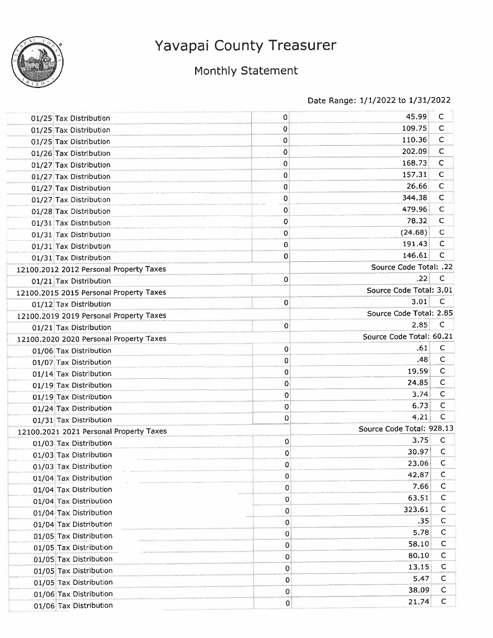

# Monthly Statement

| 01/25 Tax Distribution                  | 0           | 45.99                     | С            |
|-----------------------------------------|-------------|---------------------------|--------------|
| 01/25 Tax Distribution                  | 0           | 109.75                    | C            |
| 01/25 Tax Distribution                  | 0           | 110.36                    | $\mathsf{C}$ |
| 01/26 Tax Distribution                  | 0           | 202.09                    | C            |
| 01/27 Tax Distribution                  | 0           | 168.73                    | с            |
| 01/27 Tax Distribution                  | 0           | 157.31                    | $\mathsf C$  |
| 01/27 Tax Distribution                  | 0           | 26.66                     | $\mathsf C$  |
| 01/27 Tax Distribution                  | 0           | 344,38                    | C            |
| 01/28 Tax Distribution                  | 0           | 479.96                    | $\mathsf{C}$ |
| 01/31 Tax Distribution                  | 0           | 78.32                     | $\mathsf C$  |
| 01/31 Tax Distribution                  | 0           | (24.68)                   | $\mathsf{C}$ |
| 01/31 Tax Distribution                  | 0           | 191.43                    | C            |
| 01/31 Tax Distribution                  | 0           | 146.61                    | $\mathsf{C}$ |
| 12100.2012 2012 Personal Property Taxes |             | Source Code Total: .22    |              |
| 01/21 Tax Distribution                  | $\Omega$    | .22                       | C            |
| 12100.2015 2015 Personal Property Taxes |             | Source Code Total: 3.01   |              |
| 01/12 Tax Distribution                  | 0           | 3.01                      | С            |
| 12100.2019 2019 Personal Property Taxes |             | Source Code Total: 2.85   |              |
| 01/21 Tax Distribution                  | 0           | 2.85                      | C            |
| 12100.2020 2020 Personal Property Taxes |             | Source Code Total: 60.21  |              |
| 01/06 Tax Distribution                  | $\mathbf 0$ | .61                       | C            |
| 01/07 Tax Distribution                  | 0           | .48                       | $\mathsf C$  |
| 01/14 Tax Distribution                  | 0           | 19.59                     | C            |
| 01/19 Tax Distribution                  | 0           | 24,85                     | $\mathsf{C}$ |
| 01/19 Tax Distribution                  | 0           | 3.74                      | $\mathsf{C}$ |
| 01/24 Tax Distribution                  | 0           | 6.73                      | $\mathsf{C}$ |
| 01/31 Tax Distribution                  | 0           | 4.21                      | Ċ            |
| 12100.2021 2021 Personal Property Taxes |             | Source Code Total: 928.13 |              |
| 01/03 Tax Distribution                  | 0           | 3.75                      | C            |
| 01/03 Tax Distribution                  | 0           | 30.97                     | c            |
| 01/03 Tax Distribution                  | 0           | 23.06                     | C            |
| 01/04 Tax Distribution                  | 0           | 42.87                     | c            |
| 01/04 Tax Distribution                  | 0           | 7.66                      | $\mathsf{C}$ |
| 01/04 Tax Distribution                  | 0           | 63.51                     | С            |
| 01/04 Tax Distribution                  | 0           | 323.61                    | с            |
| 01/04 Tax Distribution                  | 0           | .35                       | c            |
| 01/05 Tax Distribution                  | $\mathbf 0$ | 5.78                      | c            |
| 01/05 Tax Distribution                  | 0           | 58.10                     | C            |
| 01/05 Tax Distribution                  | 0           | 80.10                     | C            |
| 01/05 Tax Distribution                  | $\mathbf 0$ | 13.15                     | с            |
| 01/05 Tax Distribution                  | $\pmb{0}$   | 5.47                      | c            |
|                                         | 0           | 38.09                     | C            |
| 01/06 Tax Distribution                  | $\bf 0$     | 21.74                     | $\mathsf{C}$ |
| 01/06 Tax Distribution                  |             |                           |              |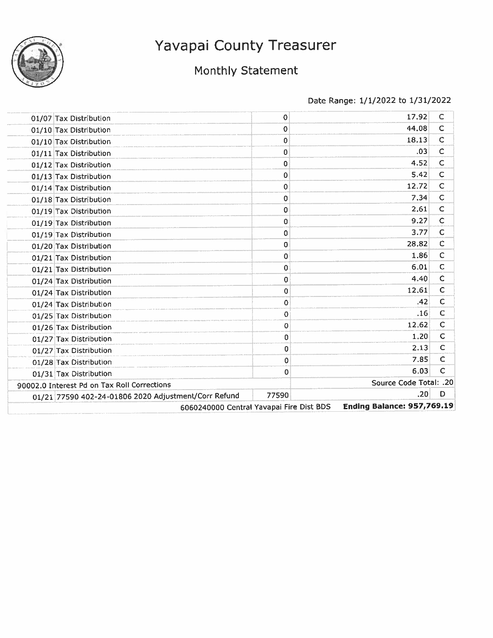

# Monthly Statement

| 01/07 Tax Distribution                               | 0           | 17.92                             | C            |
|------------------------------------------------------|-------------|-----------------------------------|--------------|
| 01/10 Tax Distribution                               | 0           | 44.08                             | $\mathsf{C}$ |
| 01/10 Tax Distribution                               | 0           | 18.13                             | $\mathsf C$  |
| 01/11 Tax Distribution                               | 0           | .03                               | $\mathsf C$  |
| 01/12 Tax Distribution                               | 0           | 4.52                              | C            |
| 01/13 Tax Distribution                               | 0           | 5.42                              | С            |
| 01/14 Tax Distribution                               | 0           | 12.72                             | C            |
| 01/18 Tax Distribution                               | 0           | 7,34                              | C            |
| 01/19 Tax Distribution                               | $\mathbf 0$ | 2.61                              | C            |
| 01/19 Tax Distribution                               | 0           | 9.27                              | $\mathsf{C}$ |
| 01/19 Tax Distribution                               | 0           | 3.77                              | $\mathsf C$  |
| 01/20 Tax Distribution                               | 0           | 28.82                             | $\mathsf{C}$ |
| 01/21 Tax Distribution                               | 0           | 1,86                              | $\mathsf{C}$ |
| 01/21 Tax Distribution                               | 0           | 6.01                              | $\mathsf{C}$ |
| 01/24 Tax Distribution                               | 0           | 4.40                              | $\mathsf{C}$ |
| 01/24 Tax Distribution                               | 0           | 12.61                             | C            |
| 01/24 Tax Distribution                               | 0           | .42                               | C            |
| 01/25 Tax Distribution                               | 0           | .16                               | $\mathsf{C}$ |
| 01/26 Tax Distribution                               | 0           | 12,62                             | C            |
| 01/27 Tax Distribution                               | 0           | 1.20                              | $\mathsf C$  |
| 01/27 Tax Distribution                               | 0           | 2.13                              | $\mathsf C$  |
| 01/28 Tax Distribution                               | 0           | 7.85                              | C            |
| 01/31 Tax Distribution                               | 0           | 6.03                              | C            |
| 90002.0 Interest Pd on Tax Roll Corrections          |             | Source Code Total: .20            |              |
| 01/21 77590 402-24-01806 2020 Adjustment/Corr Refund | 77590       | .20                               | D            |
| 6060240000 Central Yavapai Fire Dist BDS             |             | <b>Ending Balance: 957,769.19</b> |              |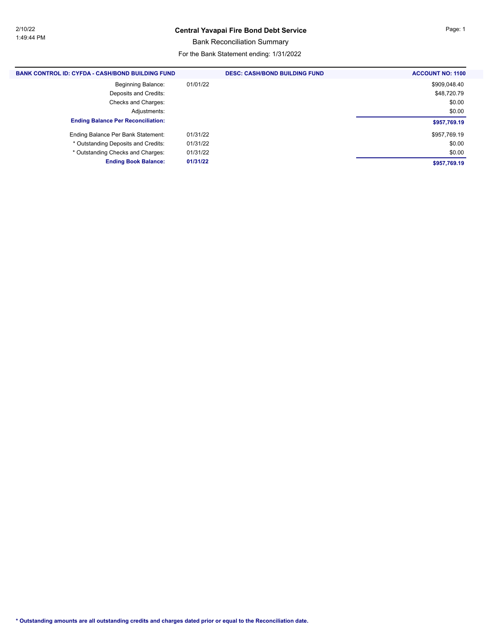Bank Reconciliation Summary

For the Bank Statement ending: 1/31/2022

| <b>BANK CONTROL ID: CYFDA - CASH/BOND BUILDING FUND</b> | <b>DESC: CASH/BOND BUILDING FUND</b> | <b>ACCOUNT NO: 1100</b> |
|---------------------------------------------------------|--------------------------------------|-------------------------|
| <b>Beginning Balance:</b>                               | 01/01/22                             | \$909,048.40            |
| Deposits and Credits:                                   |                                      | \$48,720.79             |
| Checks and Charges:                                     |                                      | \$0.00                  |
| Adjustments:                                            |                                      | \$0.00                  |
| <b>Ending Balance Per Reconciliation:</b>               |                                      | \$957,769.19            |
| Ending Balance Per Bank Statement:                      | 01/31/22                             | \$957,769.19            |
| * Outstanding Deposits and Credits:                     | 01/31/22                             | \$0.00                  |
| * Outstanding Checks and Charges:                       | 01/31/22                             | \$0.00                  |
| <b>Ending Book Balance:</b>                             | 01/31/22                             | \$957,769.19            |
|                                                         |                                      |                         |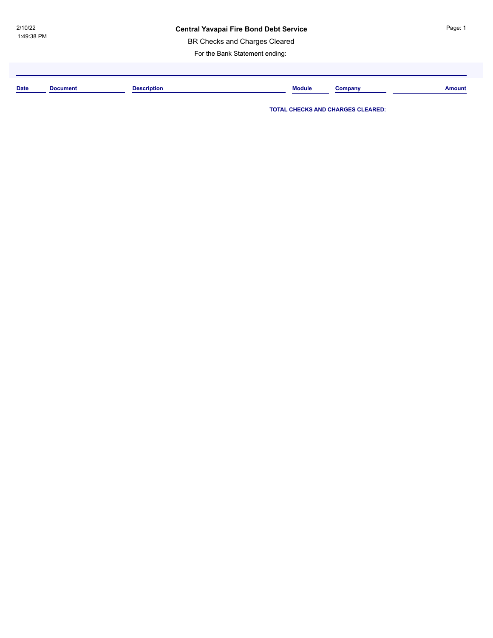BR Checks and Charges Cleared

For the Bank Statement ending:

**Date Document Description Module Company Amount**

**TOTAL CHECKS AND CHARGES CLEARED:**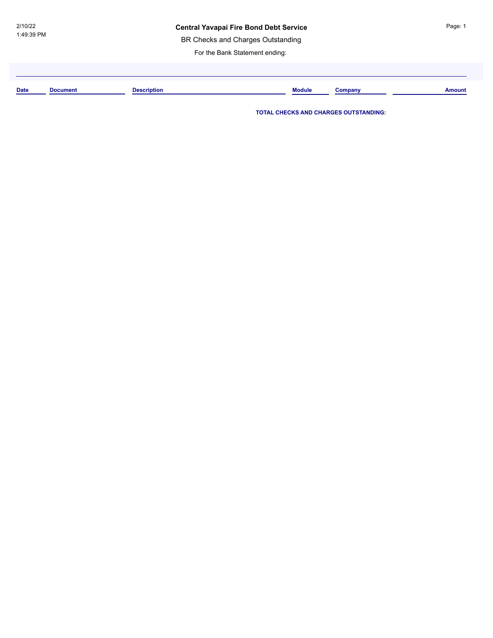BR Checks and Charges Outstanding

For the Bank Statement ending:

**Date Document Description Module Company Amount**

**TOTAL CHECKS AND CHARGES OUTSTANDING:**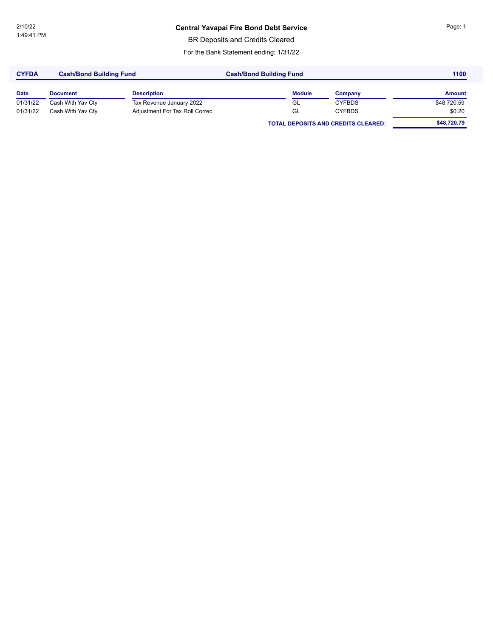BR Deposits and Credits Cleared

For the Bank Statement ending: 1/31/22

| <b>CYFDA</b> | <b>Cash/Bond Building Fund</b> |                                | <b>Cash/Bond Building Fund</b> | 1100                                       |             |  |
|--------------|--------------------------------|--------------------------------|--------------------------------|--------------------------------------------|-------------|--|
| <b>Date</b>  | <b>Document</b>                | <b>Description</b>             | <b>Module</b>                  | Company                                    | Amount      |  |
| 01/31/22     | Cash With Yav Cty              | Tax Revenue January 2022       | GL                             | <b>CYFBDS</b>                              | \$48,720.59 |  |
| 01/31/22     | Cash With Yav Cty              | Adjustment For Tax Roll Correc | GL                             | <b>CYFBDS</b>                              | \$0.20      |  |
|              |                                |                                |                                | <b>TOTAL DEPOSITS AND CREDITS CLEARED:</b> | \$48,720.79 |  |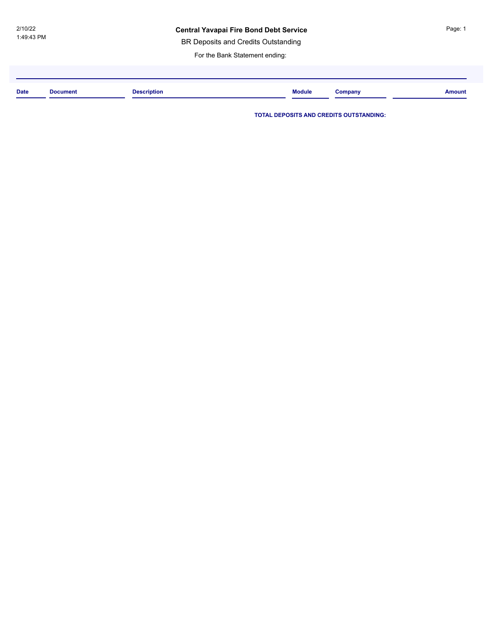BR Deposits and Credits Outstanding

For the Bank Statement ending:

| <b>Date</b> | <b>Document</b> | <b>Description</b> | <b>Module</b> | Company | <b>Amount</b> |
|-------------|-----------------|--------------------|---------------|---------|---------------|
|             |                 |                    |               |         |               |

**TOTAL DEPOSITS AND CREDITS OUTSTANDING:**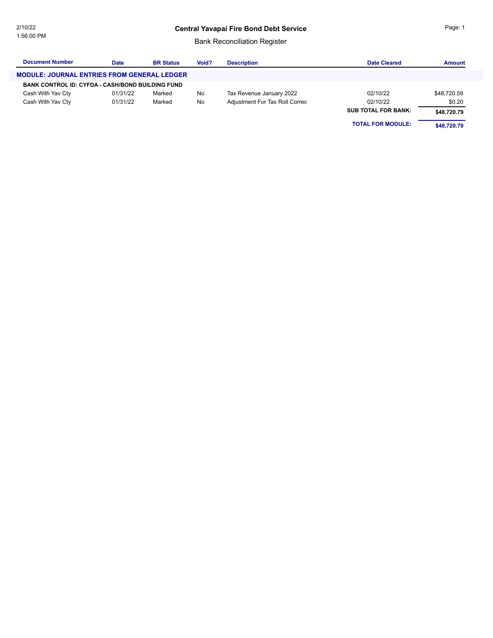### Bank Reconciliation Register

| <b>Document Number</b>                                  | Date     | <b>BR Status</b> | Void? | <b>Description</b>             | Date Cleared               | <b>Amount</b> |
|---------------------------------------------------------|----------|------------------|-------|--------------------------------|----------------------------|---------------|
| <b>MODULE: JOURNAL ENTRIES FROM GENERAL LEDGER</b>      |          |                  |       |                                |                            |               |
| <b>BANK CONTROL ID: CYFDA - CASH/BOND BUILDING FUND</b> |          |                  |       |                                |                            |               |
| Cash With Yav Cty                                       | 01/31/22 | Marked           | No    | Tax Revenue January 2022       | 02/10/22                   | \$48,720.59   |
| Cash With Yav Cty                                       | 01/31/22 | Marked           | No    | Adjustment For Tax Roll Correc | 02/10/22                   | \$0.20        |
|                                                         |          |                  |       |                                | <b>SUB TOTAL FOR BANK:</b> | \$48,720.79   |
|                                                         |          |                  |       |                                | <b>TOTAL FOR MODULE:</b>   | \$48,720.79   |

Page: 1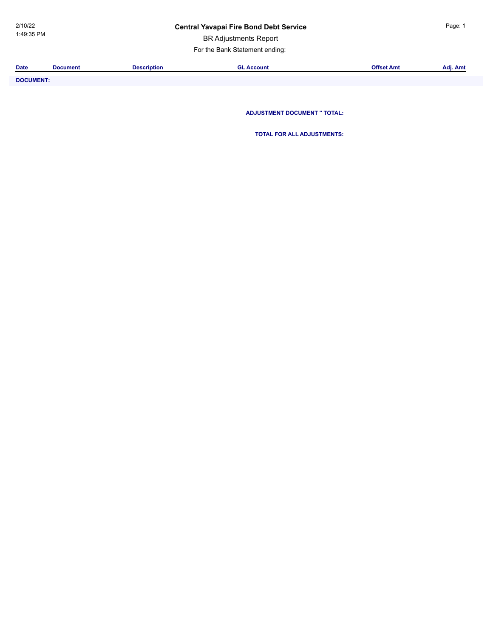BR Adjustments Report

For the Bank Statement ending:

| <b>Date</b>      | <b>Document</b> | <b>Description</b> | <b>GL Account</b>                   | <b>Offset Amt</b> | Adj. Amt |
|------------------|-----------------|--------------------|-------------------------------------|-------------------|----------|
|                  |                 |                    |                                     |                   |          |
| <b>DOCUMENT:</b> |                 |                    |                                     |                   |          |
|                  |                 |                    |                                     |                   |          |
|                  |                 |                    |                                     |                   |          |
|                  |                 |                    |                                     |                   |          |
|                  |                 |                    | <b>ADJUSTMENT DOCUMENT " TOTAL:</b> |                   |          |

**TOTAL FOR ALL ADJUSTMENTS:**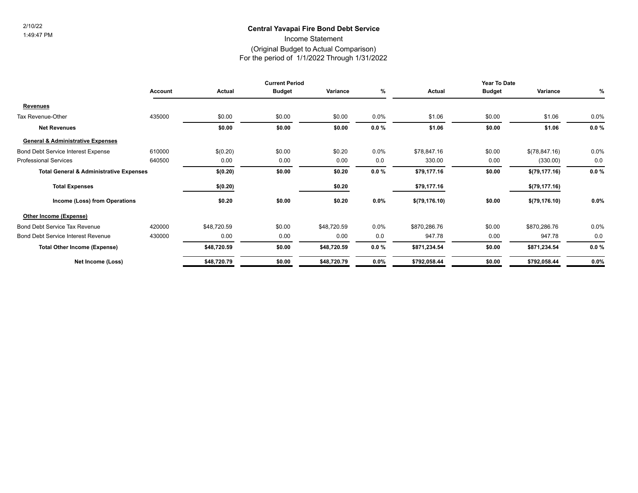### **Central Yavapai Fire Bond Debt Service** 2/10/22

Income Statement

### (Original Budget to Actual Comparison)

For the period of 1/1/2022 Through 1/31/2022

|                                                    | <b>Current Period</b> |               |               | Year To Date |          |                |               |                |          |
|----------------------------------------------------|-----------------------|---------------|---------------|--------------|----------|----------------|---------------|----------------|----------|
|                                                    | Account               | <b>Actual</b> | <b>Budget</b> | Variance     | %        | Actual         | <b>Budget</b> | Variance       | %        |
| Revenues                                           |                       |               |               |              |          |                |               |                |          |
| Tax Revenue-Other                                  | 435000                | \$0.00        | \$0.00        | \$0.00       | $0.0\%$  | \$1.06         | \$0.00        | \$1.06         | $0.0\%$  |
| <b>Net Revenues</b>                                |                       | \$0.00        | \$0.00        | \$0.00       | $0.0 \%$ | \$1.06         | \$0.00        | \$1.06         | $0.0 \%$ |
| <b>General &amp; Administrative Expenses</b>       |                       |               |               |              |          |                |               |                |          |
| <b>Bond Debt Service Interest Expense</b>          | 610000                | \$(0.20)      | \$0.00        | \$0.20       | $0.0\%$  | \$78,847.16    | \$0.00        | \$(78,847.16)  | 0.0%     |
| <b>Professional Services</b>                       | 640500                | 0.00          | 0.00          | 0.00         | 0.0      | 330.00         | 0.00          | (330.00)       | 0.0      |
| <b>Total General &amp; Administrative Expenses</b> |                       | \$(0.20)      | \$0.00        | \$0.20       | $0.0 \%$ | \$79,177.16    | \$0.00        | \$(79,177.16)  | $0.0 \%$ |
| <b>Total Expenses</b>                              |                       | \$(0.20)      |               | \$0.20       |          | \$79,177.16    |               | \$(79, 177.16) |          |
| Income (Loss) from Operations                      |                       | \$0.20        | \$0.00        | \$0.20       | $0.0\%$  | \$(79, 176.10) | \$0.00        | \$(79, 176.10) | $0.0\%$  |
| Other Income (Expense)                             |                       |               |               |              |          |                |               |                |          |
| <b>Bond Debt Service Tax Revenue</b>               | 420000                | \$48,720.59   | \$0.00        | \$48,720.59  | $0.0\%$  | \$870,286.76   | \$0.00        | \$870,286.76   | 0.0%     |
| <b>Bond Debt Service Interest Revenue</b>          | 430000                | 0.00          | 0.00          | 0.00         | 0.0      | 947.78         | 0.00          | 947.78         | 0.0      |
| <b>Total Other Income (Expense)</b>                |                       | \$48,720.59   | \$0.00        | \$48,720.59  | $0.0 \%$ | \$871,234.54   | \$0.00        | \$871,234.54   | $0.0 \%$ |
| Net Income (Loss)                                  |                       | \$48,720.79   | \$0.00        | \$48,720.79  | 0.0%     | \$792,058.44   | \$0.00        | \$792,058.44   | 0.0%     |
|                                                    |                       |               |               |              |          |                |               |                |          |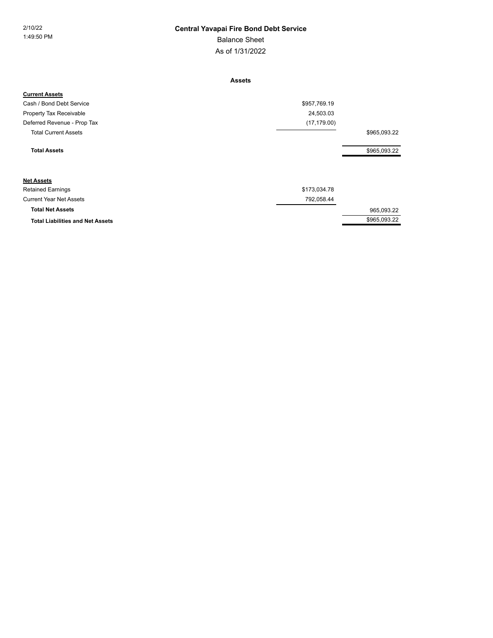### As of 1/31/2022 Balance Sheet 2/10/22 **Central Yavapai Fire Bond Debt Service**

**Assets**

| <b>Current Assets</b>                   |              |              |
|-----------------------------------------|--------------|--------------|
| Cash / Bond Debt Service                | \$957,769.19 |              |
| Property Tax Receivable                 | 24,503.03    |              |
| Deferred Revenue - Prop Tax             | (17, 179.00) |              |
| <b>Total Current Assets</b>             |              | \$965,093.22 |
| <b>Total Assets</b>                     |              | \$965,093.22 |
| <b>Net Assets</b>                       |              |              |
| <b>Retained Earnings</b>                | \$173,034.78 |              |
| <b>Current Year Net Assets</b>          | 792,058.44   |              |
| <b>Total Net Assets</b>                 |              | 965,093.22   |
| <b>Total Liabilities and Net Assets</b> |              | \$965,093.22 |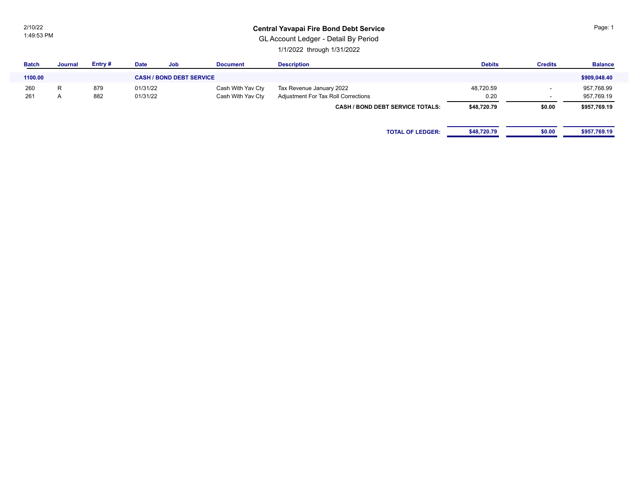2/10/22 1:49:53 PM

### **Central Yavapai Fire Bond Debt Service**

GL Account Ledger - Detail By Period

1/1/2022 through 1/31/2022

| Journal | Entry # | <b>Date</b> | <b>Job</b> | <b>Document</b>   | <b>Description</b>                      | <b>Debits</b> | <b>Credits</b> | <b>Balance</b> |
|---------|---------|-------------|------------|-------------------|-----------------------------------------|---------------|----------------|----------------|
|         |         |             |            |                   |                                         |               |                | \$909,048.40   |
| R       | 879     | 01/31/22    |            | Cash With Yav Cty | Tax Revenue January 2022                | 48,720.59     | . .            | 957,768.99     |
| A       | 882     | 01/31/22    |            | Cash With Yav Cty | Adjustment For Tax Roll Corrections     | 0.20          | . .            | 957,769.19     |
|         |         |             |            |                   | <b>CASH / BOND DEBT SERVICE TOTALS:</b> | \$48,720.79   | \$0.00         | \$957,769.19   |
|         |         |             |            |                   |                                         |               |                |                |
|         |         |             |            |                   | <b>TOTAL OF LEDGER:</b>                 | \$48,720.79   | \$0.00         | \$957,769.19   |
|         |         |             |            |                   | <b>CASH / BOND DEBT SERVICE</b>         |               |                |                |

Page: 1